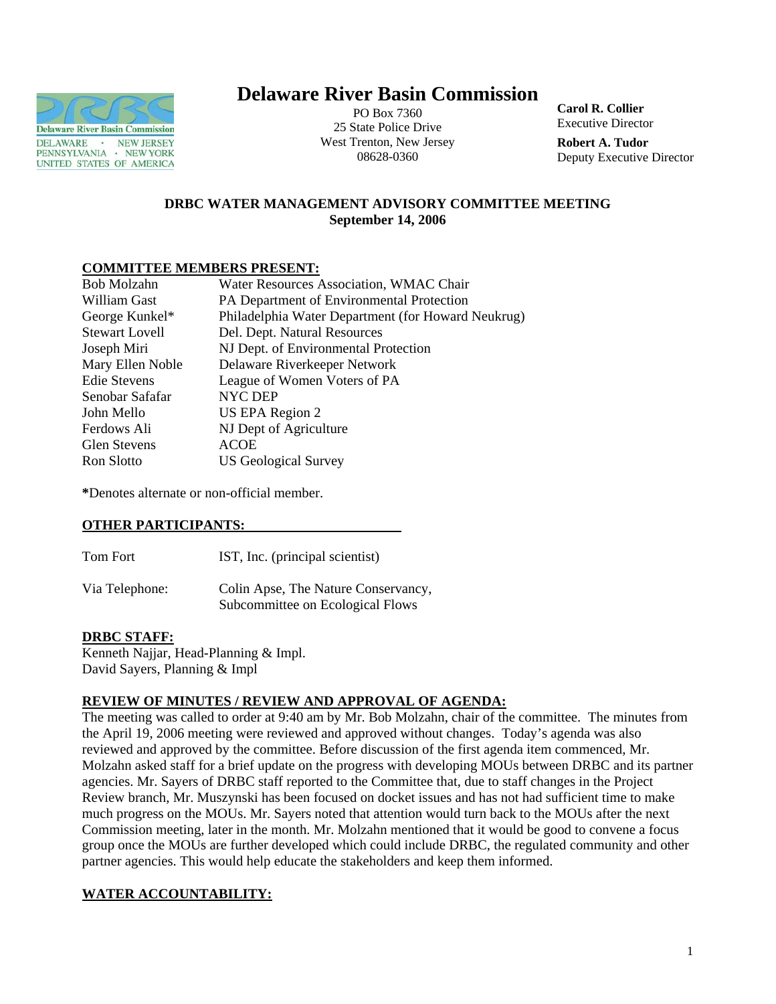

# **Delaware River Basin Commission**

PO Box 7360 25 State Police Drive West Trenton, New Jersey 08628-0360

**Carol R. Collier** Executive Director

**Robert A. Tudor**  Deputy Executive Director

# **DRBC WATER MANAGEMENT ADVISORY COMMITTEE MEETING September 14, 2006**

## **COMMITTEE MEMBERS PRESENT:**

| Bob Molzahn           | Water Resources Association, WMAC Chair            |
|-----------------------|----------------------------------------------------|
| William Gast          | PA Department of Environmental Protection          |
| George Kunkel*        | Philadelphia Water Department (for Howard Neukrug) |
| <b>Stewart Lovell</b> | Del. Dept. Natural Resources                       |
| Joseph Miri           | NJ Dept. of Environmental Protection               |
| Mary Ellen Noble      | Delaware Riverkeeper Network                       |
| <b>Edie Stevens</b>   | League of Women Voters of PA                       |
| Senobar Safafar       | NYC DEP                                            |
| John Mello            | US EPA Region 2                                    |
| Ferdows Ali           | NJ Dept of Agriculture                             |
| <b>Glen Stevens</b>   | <b>ACOE</b>                                        |
| Ron Slotto            | <b>US Geological Survey</b>                        |
|                       |                                                    |

**\***Denotes alternate or non-official member.

## **OTHER PARTICIPANTS:**

Tom Fort **IST**, Inc. (principal scientist)

Via Telephone: Colin Apse, The Nature Conservancy, Subcommittee on Ecological Flows

## **DRBC STAFF:**

Kenneth Najjar, Head-Planning & Impl. David Sayers, Planning & Impl

## **REVIEW OF MINUTES / REVIEW AND APPROVAL OF AGENDA:**

The meeting was called to order at 9:40 am by Mr. Bob Molzahn, chair of the committee. The minutes from the April 19, 2006 meeting were reviewed and approved without changes. Today's agenda was also reviewed and approved by the committee. Before discussion of the first agenda item commenced, Mr. Molzahn asked staff for a brief update on the progress with developing MOUs between DRBC and its partner agencies. Mr. Sayers of DRBC staff reported to the Committee that, due to staff changes in the Project Review branch, Mr. Muszynski has been focused on docket issues and has not had sufficient time to make much progress on the MOUs. Mr. Sayers noted that attention would turn back to the MOUs after the next Commission meeting, later in the month. Mr. Molzahn mentioned that it would be good to convene a focus group once the MOUs are further developed which could include DRBC, the regulated community and other partner agencies. This would help educate the stakeholders and keep them informed.

# **WATER ACCOUNTABILITY:**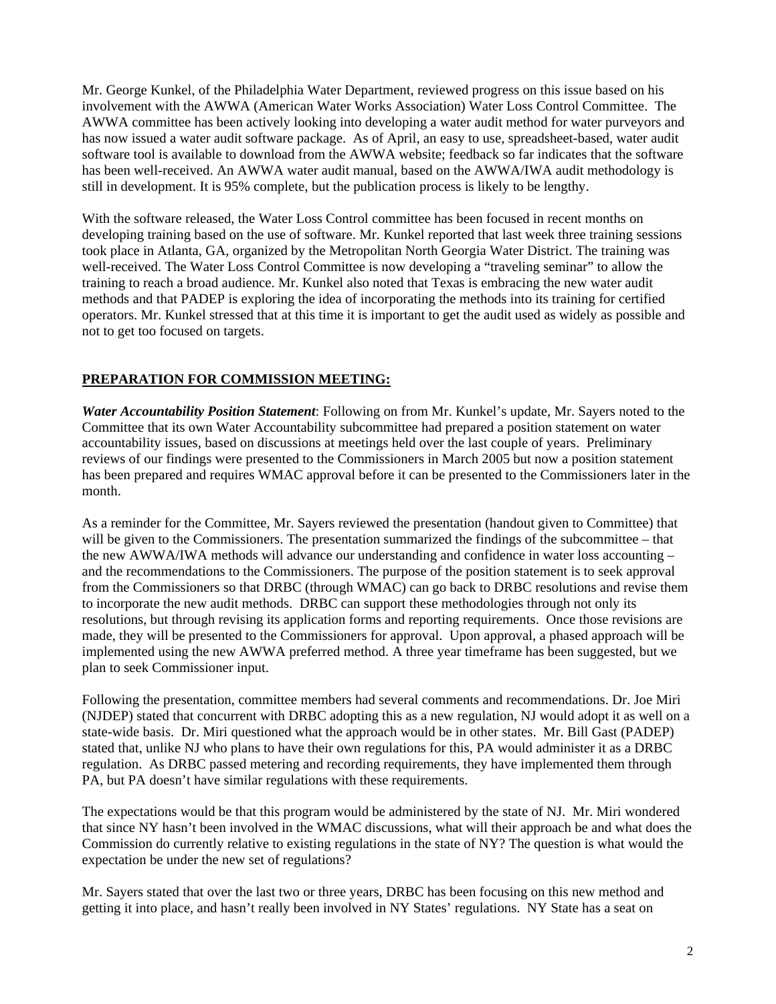Mr. George Kunkel, of the Philadelphia Water Department, reviewed progress on this issue based on his involvement with the AWWA (American Water Works Association) Water Loss Control Committee. The AWWA committee has been actively looking into developing a water audit method for water purveyors and has now issued a water audit software package. As of April, an easy to use, spreadsheet-based, water audit software tool is available to download from the AWWA website; feedback so far indicates that the software has been well-received. An AWWA water audit manual, based on the AWWA/IWA audit methodology is still in development. It is 95% complete, but the publication process is likely to be lengthy.

With the software released, the Water Loss Control committee has been focused in recent months on developing training based on the use of software. Mr. Kunkel reported that last week three training sessions took place in Atlanta, GA, organized by the Metropolitan North Georgia Water District. The training was well-received. The Water Loss Control Committee is now developing a "traveling seminar" to allow the training to reach a broad audience. Mr. Kunkel also noted that Texas is embracing the new water audit methods and that PADEP is exploring the idea of incorporating the methods into its training for certified operators. Mr. Kunkel stressed that at this time it is important to get the audit used as widely as possible and not to get too focused on targets.

# **PREPARATION FOR COMMISSION MEETING:**

*Water Accountability Position Statement*: Following on from Mr. Kunkel's update, Mr. Sayers noted to the Committee that its own Water Accountability subcommittee had prepared a position statement on water accountability issues, based on discussions at meetings held over the last couple of years. Preliminary reviews of our findings were presented to the Commissioners in March 2005 but now a position statement has been prepared and requires WMAC approval before it can be presented to the Commissioners later in the month.

As a reminder for the Committee, Mr. Sayers reviewed the presentation (handout given to Committee) that will be given to the Commissioners. The presentation summarized the findings of the subcommittee – that the new AWWA/IWA methods will advance our understanding and confidence in water loss accounting – and the recommendations to the Commissioners. The purpose of the position statement is to seek approval from the Commissioners so that DRBC (through WMAC) can go back to DRBC resolutions and revise them to incorporate the new audit methods. DRBC can support these methodologies through not only its resolutions, but through revising its application forms and reporting requirements. Once those revisions are made, they will be presented to the Commissioners for approval. Upon approval, a phased approach will be implemented using the new AWWA preferred method. A three year timeframe has been suggested, but we plan to seek Commissioner input.

Following the presentation, committee members had several comments and recommendations. Dr. Joe Miri (NJDEP) stated that concurrent with DRBC adopting this as a new regulation, NJ would adopt it as well on a state-wide basis. Dr. Miri questioned what the approach would be in other states. Mr. Bill Gast (PADEP) stated that, unlike NJ who plans to have their own regulations for this, PA would administer it as a DRBC regulation. As DRBC passed metering and recording requirements, they have implemented them through PA, but PA doesn't have similar regulations with these requirements.

The expectations would be that this program would be administered by the state of NJ. Mr. Miri wondered that since NY hasn't been involved in the WMAC discussions, what will their approach be and what does the Commission do currently relative to existing regulations in the state of NY? The question is what would the expectation be under the new set of regulations?

Mr. Sayers stated that over the last two or three years, DRBC has been focusing on this new method and getting it into place, and hasn't really been involved in NY States' regulations. NY State has a seat on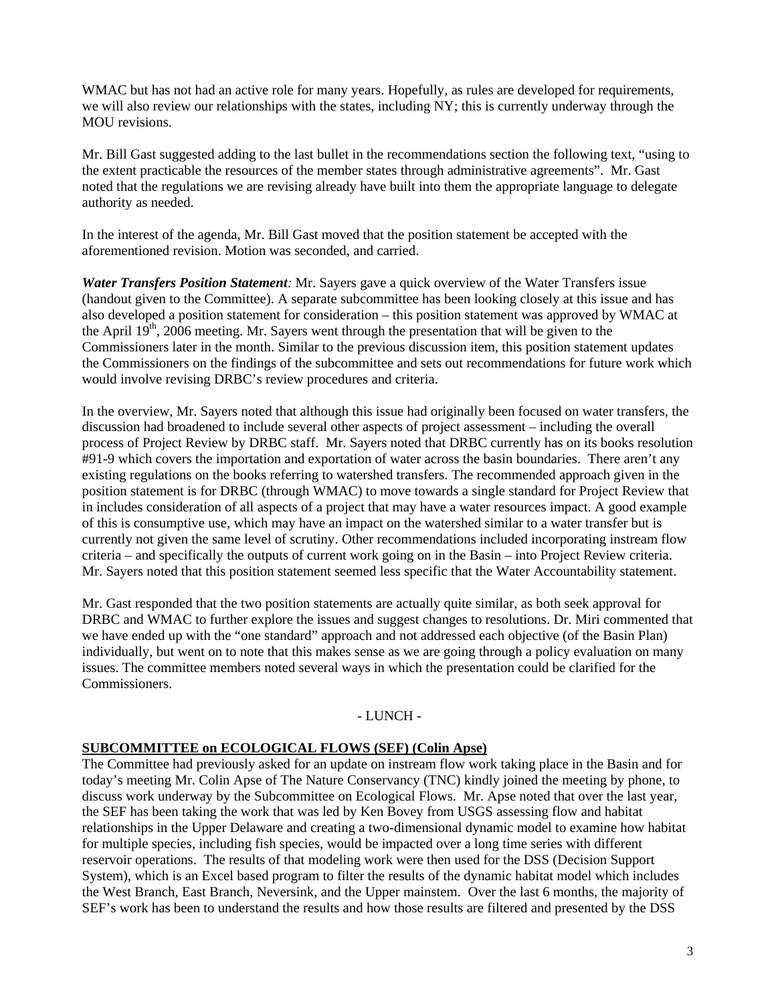WMAC but has not had an active role for many years. Hopefully, as rules are developed for requirements, we will also review our relationships with the states, including NY; this is currently underway through the MOU revisions.

Mr. Bill Gast suggested adding to the last bullet in the recommendations section the following text, "using to the extent practicable the resources of the member states through administrative agreements". Mr. Gast noted that the regulations we are revising already have built into them the appropriate language to delegate authority as needed.

In the interest of the agenda, Mr. Bill Gast moved that the position statement be accepted with the aforementioned revision. Motion was seconded, and carried.

*Water Transfers Position Statement:* Mr. Sayers gave a quick overview of the Water Transfers issue (handout given to the Committee). A separate subcommittee has been looking closely at this issue and has also developed a position statement for consideration – this position statement was approved by WMAC at the April  $19<sup>th</sup>$ , 2006 meeting. Mr. Sayers went through the presentation that will be given to the Commissioners later in the month. Similar to the previous discussion item, this position statement updates the Commissioners on the findings of the subcommittee and sets out recommendations for future work which would involve revising DRBC's review procedures and criteria.

In the overview, Mr. Sayers noted that although this issue had originally been focused on water transfers, the discussion had broadened to include several other aspects of project assessment – including the overall process of Project Review by DRBC staff. Mr. Sayers noted that DRBC currently has on its books resolution #91-9 which covers the importation and exportation of water across the basin boundaries. There aren't any existing regulations on the books referring to watershed transfers. The recommended approach given in the position statement is for DRBC (through WMAC) to move towards a single standard for Project Review that in includes consideration of all aspects of a project that may have a water resources impact. A good example of this is consumptive use, which may have an impact on the watershed similar to a water transfer but is currently not given the same level of scrutiny. Other recommendations included incorporating instream flow criteria – and specifically the outputs of current work going on in the Basin – into Project Review criteria. Mr. Sayers noted that this position statement seemed less specific that the Water Accountability statement.

Mr. Gast responded that the two position statements are actually quite similar, as both seek approval for DRBC and WMAC to further explore the issues and suggest changes to resolutions. Dr. Miri commented that we have ended up with the "one standard" approach and not addressed each objective (of the Basin Plan) individually, but went on to note that this makes sense as we are going through a policy evaluation on many issues. The committee members noted several ways in which the presentation could be clarified for the Commissioners.

## - LUNCH -

## **SUBCOMMITTEE on ECOLOGICAL FLOWS (SEF) (Colin Apse)**

The Committee had previously asked for an update on instream flow work taking place in the Basin and for today's meeting Mr. Colin Apse of The Nature Conservancy (TNC) kindly joined the meeting by phone, to discuss work underway by the Subcommittee on Ecological Flows. Mr. Apse noted that over the last year, the SEF has been taking the work that was led by Ken Bovey from USGS assessing flow and habitat relationships in the Upper Delaware and creating a two-dimensional dynamic model to examine how habitat for multiple species, including fish species, would be impacted over a long time series with different reservoir operations. The results of that modeling work were then used for the DSS (Decision Support System), which is an Excel based program to filter the results of the dynamic habitat model which includes the West Branch, East Branch, Neversink, and the Upper mainstem. Over the last 6 months, the majority of SEF's work has been to understand the results and how those results are filtered and presented by the DSS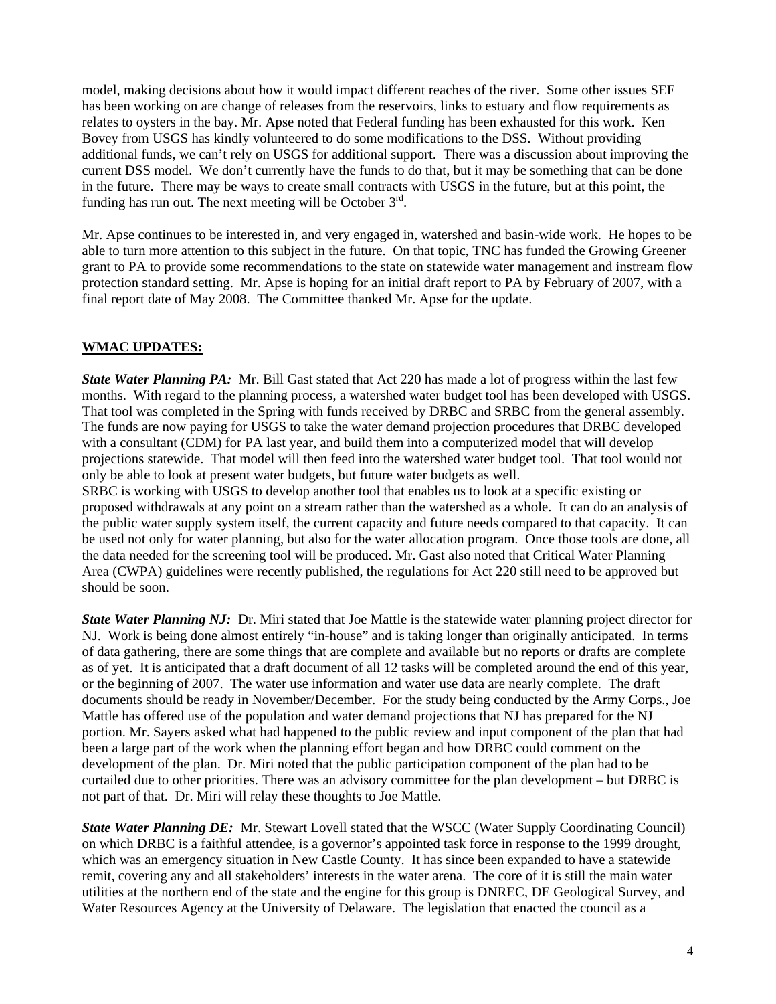model, making decisions about how it would impact different reaches of the river. Some other issues SEF has been working on are change of releases from the reservoirs, links to estuary and flow requirements as relates to oysters in the bay. Mr. Apse noted that Federal funding has been exhausted for this work. Ken Bovey from USGS has kindly volunteered to do some modifications to the DSS. Without providing additional funds, we can't rely on USGS for additional support. There was a discussion about improving the current DSS model. We don't currently have the funds to do that, but it may be something that can be done in the future. There may be ways to create small contracts with USGS in the future, but at this point, the funding has run out. The next meeting will be October  $3<sup>rd</sup>$ .

Mr. Apse continues to be interested in, and very engaged in, watershed and basin-wide work. He hopes to be able to turn more attention to this subject in the future. On that topic, TNC has funded the Growing Greener grant to PA to provide some recommendations to the state on statewide water management and instream flow protection standard setting. Mr. Apse is hoping for an initial draft report to PA by February of 2007, with a final report date of May 2008. The Committee thanked Mr. Apse for the update.

## **WMAC UPDATES:**

*State Water Planning PA:* Mr. Bill Gast stated that Act 220 has made a lot of progress within the last few months. With regard to the planning process, a watershed water budget tool has been developed with USGS. That tool was completed in the Spring with funds received by DRBC and SRBC from the general assembly. The funds are now paying for USGS to take the water demand projection procedures that DRBC developed with a consultant (CDM) for PA last year, and build them into a computerized model that will develop projections statewide. That model will then feed into the watershed water budget tool. That tool would not only be able to look at present water budgets, but future water budgets as well.

SRBC is working with USGS to develop another tool that enables us to look at a specific existing or proposed withdrawals at any point on a stream rather than the watershed as a whole. It can do an analysis of the public water supply system itself, the current capacity and future needs compared to that capacity. It can be used not only for water planning, but also for the water allocation program. Once those tools are done, all the data needed for the screening tool will be produced. Mr. Gast also noted that Critical Water Planning Area (CWPA) guidelines were recently published, the regulations for Act 220 still need to be approved but should be soon.

*State Water Planning NJ:* Dr. Miri stated that Joe Mattle is the statewide water planning project director for NJ. Work is being done almost entirely "in-house" and is taking longer than originally anticipated. In terms of data gathering, there are some things that are complete and available but no reports or drafts are complete as of yet. It is anticipated that a draft document of all 12 tasks will be completed around the end of this year, or the beginning of 2007. The water use information and water use data are nearly complete. The draft documents should be ready in November/December. For the study being conducted by the Army Corps., Joe Mattle has offered use of the population and water demand projections that NJ has prepared for the NJ portion. Mr. Sayers asked what had happened to the public review and input component of the plan that had been a large part of the work when the planning effort began and how DRBC could comment on the development of the plan. Dr. Miri noted that the public participation component of the plan had to be curtailed due to other priorities. There was an advisory committee for the plan development – but DRBC is not part of that. Dr. Miri will relay these thoughts to Joe Mattle.

*State Water Planning DE:* Mr. Stewart Lovell stated that the WSCC (Water Supply Coordinating Council) on which DRBC is a faithful attendee, is a governor's appointed task force in response to the 1999 drought, which was an emergency situation in New Castle County. It has since been expanded to have a statewide remit, covering any and all stakeholders' interests in the water arena. The core of it is still the main water utilities at the northern end of the state and the engine for this group is DNREC, DE Geological Survey, and Water Resources Agency at the University of Delaware. The legislation that enacted the council as a